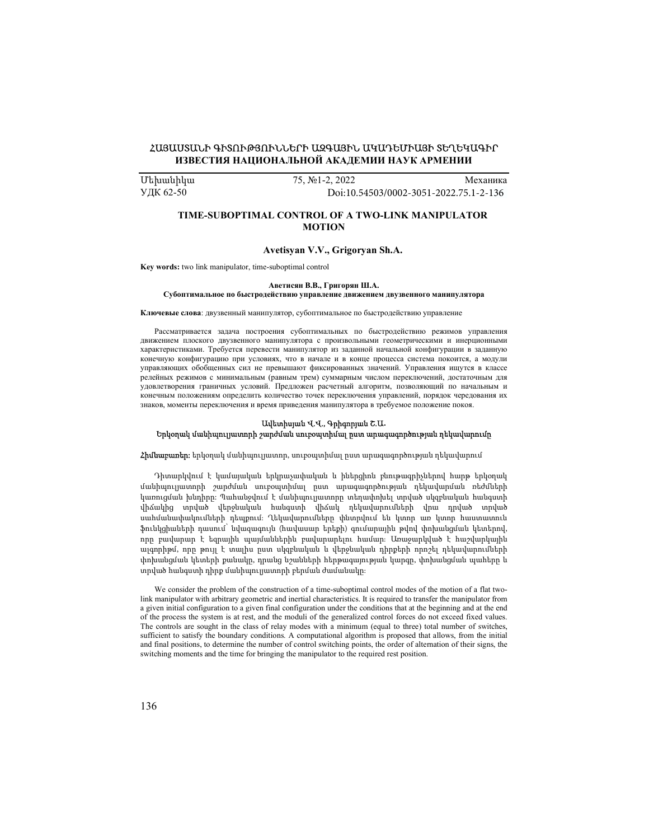# ՀԱՅԱՍՏԱՆԻ ԳԻՏՈՒԹՅՈՒՆՆԵՐԻ ԱԶԳԱՅԻՆ ԱԿԱԴԵՄԻԱՅԻ ՏԵՂԵԿԱԳԻՐ ИЗВЕСТИЯ НАЦИОНАЛЬНОЙ АКАДЕМИИ НАУК АРМЕНИИ

Մեխանիկա 75, №1-2, 2022 Механика УДК 62-50 Doi[:10.54503/0002-3051-2022.75.1-2-136](https://doi.org/10.54503/0002-3051-2022.75.1-2-136)

### TIME-SUBOPTIMAL CONTROL OF A TWO-LINK MANIPULATOR MOTION

### Avetisyan V.V., Grigoryan Sh.A.

Key words: two link manipulator, time-suboptimal control

#### Аветисян В.В., Григорян Ш.А.

#### Субоптимальное по быстродействию управление движением двузвенного манипулятора

Ключевые слова: двузвенный манипулятор, субоптимальное по быстродействию управление

Рассматривается задача построения субоптимальных по быстродействию режимов управления движением плоского двузвенного манипулятора с произвольными геометрическими и инерционными характеристиками. Требуется перевести манипулятор из заданной начальной конфигурации в заданную конечную конфигурацию при условиях, что в начале и в конце процесса система покоится, а модули управляющих обобщенных сил не превышают фиксированных значений. Управления ищутся в классе релейных режимов с минимальным (равным трем) суммарным числом переключений, достаточным для удовлетворения граничных условий. Предложен расчетный алгоритм, позволяющий по начальным и конечным положениям определить количество точек переключения управлений, порядок чередования их знаков, моменты переключения и время приведения манипулятора в требуемое положение покоя.

### Ավետիսյան Վ.Վ., Գրիգորյան Շ.Ա․ Երկօղակ մանիպուլյատորի շարժման սուբօպտիմալ ըստ արագագործության ղեկավարումը

### Հիմնաբառեր: երկօղակ մանիպուլյատոր, սուբօպտիմալ ըստ արագագործության ղեկավարում

Դիտարկվում է կամայական երկրաչափական և իներցիոն բնութագրիչներով հարթ երկօղակ մանիպուլյատորի շարժման սուբօպտիմալ ըստ արագագործության ղեկավարման ռեժմների կառուցման խնդիրը: Պահանջվում է մանիպուլյատորը տեղափոխել տրված սկզբնական հանգստի վիճակից տրված վերջնական հանգստի վիճակ ղեկավարումների վրա դրված տրված սահմանափակումների դեպքում։ Ղեկավարումները փնտրվում են կտոր առ կտոր հաստատուն ֆունկցիաների դասում՝ նվազագույն (հավասար երեքի) գումարային թվով փոխանցման կետերով, որը բավարար է եզրային պայմաններին բավարարելու համար։ Առաջարկված է հաշվարկային ալգորիթմ, որը թույլ է տալիս ըստ սկզբնական և վերջնական դիրքերի որոշել ղեկավարումների փոխանցման կետերի քանակը, դրանց նշանների հերթագայության կարգը, փոխանցման պահերը և տրված հանգստի դիրք մանիպուլյատորի բերման ժամանակը։

We consider the problem of the construction of a time-suboptimal control modes of the motion of a flat twolink manipulator with arbitrary geometric and inertial characteristics. It is required to transfer the manipulator from a given initial configuration to a given final configuration under the conditions that at the beginning and at the end of the process the system is at rest, and the moduli of the generalized control forces do not exceed fixed values. The controls are sought in the class of relay modes with a minimum (equal to three) total number of switches, sufficient to satisfy the boundary conditions. A computational algorithm is proposed that allows, from the initial and final positions, to determine the number of control switching points, the order of alternation of their signs, the switching moments and the time for bringing the manipulator to the required rest position.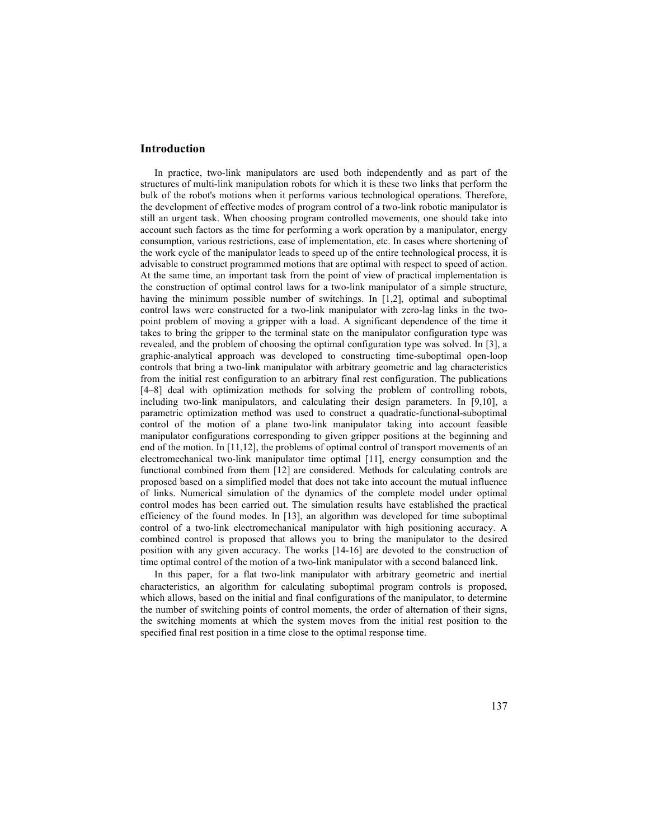# Introduction

In practice, two-link manipulators are used both independently and as part of the structures of multi-link manipulation robots for which it is these two links that perform the bulk of the robot's motions when it performs various technological operations. Therefore, the development of effective modes of program control of a two-link robotic manipulator is still an urgent task. When choosing program controlled movements, one should take into account such factors as the time for performing a work operation by a manipulator, energy consumption, various restrictions, ease of implementation, etc. In cases where shortening of the work cycle of the manipulator leads to speed up of the entire technological process, it is advisable to construct programmed motions that are optimal with respect to speed of action. At the same time, an important task from the point of view of practical implementation is the construction of optimal control laws for a two-link manipulator of a simple structure, having the minimum possible number of switchings. In [1,2], optimal and suboptimal control laws were constructed for a two-link manipulator with zero-lag links in the twopoint problem of moving a gripper with a load. A significant dependence of the time it takes to bring the gripper to the terminal state on the manipulator configuration type was revealed, and the problem of choosing the optimal configuration type was solved. In [3], a graphic-analytical approach was developed to constructing time-suboptimal open-loop controls that bring a two-link manipulator with arbitrary geometric and lag characteristics from the initial rest configuration to an arbitrary final rest configuration. The publications [4–8] deal with optimization methods for solving the problem of controlling robots, including two-link manipulators, and calculating their design parameters. In [9,10], a parametric optimization method was used to construct a quadratic-functional-suboptimal control of the motion of a plane two-link manipulator taking into account feasible manipulator configurations corresponding to given gripper positions at the beginning and end of the motion. In [11,12], the problems of optimal control of transport movements of an electromechanical two-link manipulator time optimal [11], energy consumption and the functional combined from them [12] are considered. Methods for calculating controls are proposed based on a simplified model that does not take into account the mutual influence of links. Numerical simulation of the dynamics of the complete model under optimal control modes has been carried out. The simulation results have established the practical efficiency of the found modes. In [13], an algorithm was developed for time suboptimal control of a two-link electromechanical manipulator with high positioning accuracy. A combined control is proposed that allows you to bring the manipulator to the desired position with any given accuracy. The works [14-16] are devoted to the construction of time optimal control of the motion of a two-link manipulator with a second balanced link.

In this paper, for a flat two-link manipulator with arbitrary geometric and inertial characteristics, an algorithm for calculating suboptimal program controls is proposed, which allows, based on the initial and final configurations of the manipulator, to determine the number of switching points of control moments, the order of alternation of their signs, the switching moments at which the system moves from the initial rest position to the specified final rest position in a time close to the optimal response time.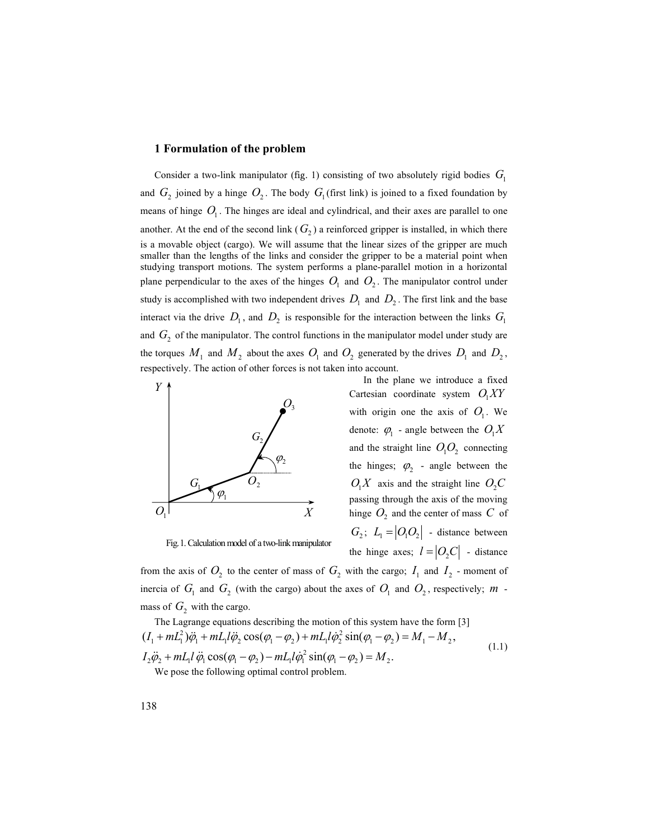### 1 Formulation of the problem

Consider a two-link manipulator (fig. 1) consisting of two absolutely rigid bodies  $G<sub>1</sub>$ and  $G_2$  joined by a hinge  $O_2$ . The body  $G_1$  (first link) is joined to a fixed foundation by means of hinge  $O_1$ . The hinges are ideal and cylindrical, and their axes are parallel to one another. At the end of the second link  $(G_2)$  a reinforced gripper is installed, in which there is a movable object (cargo). We will assume that the linear sizes of the gripper are much smaller than the lengths of the links and consider the gripper to be a material point when studying transport motions. The system performs a plane-parallel motion in a horizontal plane perpendicular to the axes of the hinges  $O_1$  and  $O_2$ . The manipulator control under study is accomplished with two independent drives  $D_1$  and  $D_2$ . The first link and the base interact via the drive  $D_1$ , and  $D_2$  is responsible for the interaction between the links  $G_1$ and  $G_2$  of the manipulator. The control functions in the manipulator model under study are the torques  $M_1$  and  $M_2$  about the axes  $O_1$  and  $O_2$  generated by the drives  $D_1$  and  $D_2$ , respectively. The action of other forces is not taken into account.



Fig.1. Calculation model of a two-link manipulator

In the plane we introduce a fixed Cartesian coordinate system  $O_1XY$ with origin one the axis of  $O_1$ . We denote:  $\varphi_{\rm l}$  - angle between the  $O_{\rm l}X$ and the straight line  $O_1O_2$  connecting the hinges;  $\varphi_2$  - angle between the  $O_1X$  axis and the straight line  $O_2C$ passing through the axis of the moving hinge  $O_2$  and the center of mass  $C$  of  $G_2$ ;  $L_1 = |O_1O_2|$  - distance between the hinge axes;  $l = |O_2C|$  - distance

from the axis of  $O_2$  to the center of mass of  $G_2$  with the cargo;  $I_1$  and  $I_2$  - moment of inercia of  $G_1$  and  $G_2$  (with the cargo) about the axes of  $O_1$  and  $O_2$ , respectively;  $m$  mass of  $G_2$  with the cargo.

The Lagrange equations describing the motion of this system have the form [3]  $^{2}$ )  $\ddot{a}$  + mI  $\ddot{a}$  200(0 0) + mI  $\ddot{a}^{2}$  c  $(I_1 + mL_1^2)\ddot{\varphi}_1 + mL_1 l \ddot{\varphi}_2 \cos(\varphi_1 - \varphi_2) + mL_1 l \dot{\varphi}_2^2 \sin(\varphi_1 - \varphi_2) = M_1 - M_2,$  $I_2\ddot{\varphi}_2 + mL_1 l \ddot{\varphi}_1 \cos(\varphi_1 - \varphi_2) - mL_1 l \dot{\varphi}_1^2 \sin(\varphi_1 - \varphi_2) = M_2.$  (1.1) We pose the following optimal control problem.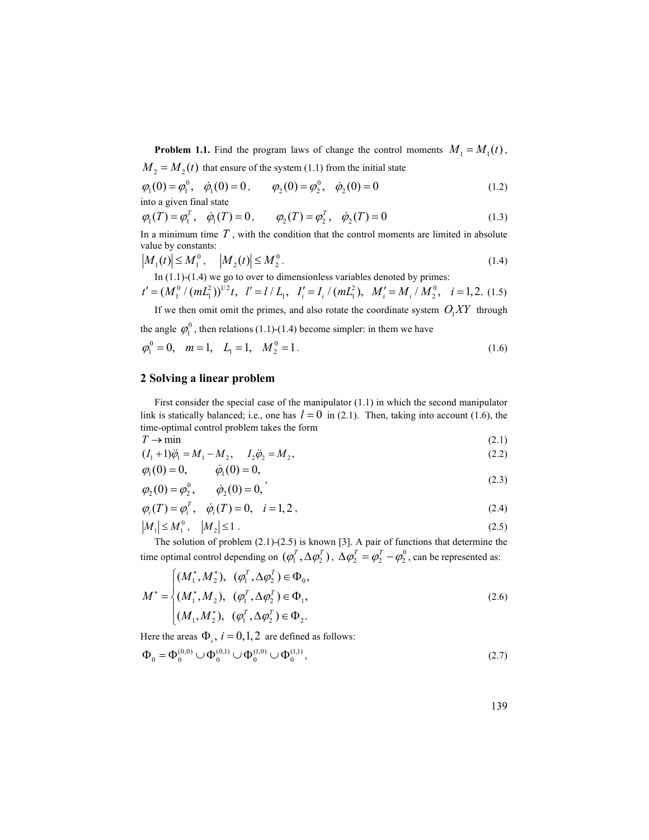**Problem 1.1.** Find the program laws of change the control moments  $M_1 = M_1(t)$ ,  $M_2 = M_2(t)$  that ensure of the system (1.1) from the initial state

$$
\varphi_1(0) = \varphi_1^0
$$
,  $\dot{\varphi}_1(0) = 0$ ,  $\varphi_2(0) = \varphi_2^0$ ,  $\dot{\varphi}_2(0) = 0$  (1.2)  
into a given final state

$$
\varphi_1(T) = \varphi_1^T, \quad \dot{\varphi}_1(T) = 0, \qquad \varphi_2(T) = \varphi_2^T, \quad \dot{\varphi}_2(T) = 0
$$
\n(1.3)

In a minimum time  $T$ , with the condition that the control moments are limited in absolute value by constants:

$$
|M_1(t)| \le M_1^0, \quad |M_2(t)| \le M_2^0.
$$
  
In (1.1)-(1.4) we go to over to dimensionless variables denoted by primes: (1.4)

 $t' = (M_1^0 / (mL_1^2))^{1/2} t$ ,  $l' = l / L_1$ ,  $I'_i = I_i / (mL_1^2)$ ,  $M'_i = M_i / M_2^0$ ,  $i = 1, 2$ . (1.5)

If we then omit omit the primes, and also rotate the coordinate system  $O<sub>1</sub> XY$  through the angle  $\varphi_1^0$ , then relations (1.1)-(1.4) become simpler: in them we have

$$
\varphi_1^0 = 0, \quad m = 1, \quad L_1 = 1, \quad M_2^0 = 1. \tag{1.6}
$$

# 2 Solving a linear problem

First consider the special case of the manipulator (1.1) in which the second manipulator link is statically balanced; i.e., one has  $l = 0$  in (2.1). Then, taking into account (1.6), the time-optimal control problem takes the form

$$
T \to \min_{\{t_1, t_2\}} \tag{2.1}
$$

$$
(I_1 + 1)\ddot{\varphi}_1 = M_1 - M_2, \quad I_2 \ddot{\varphi}_2 = M_2, \n\varphi_1(0) = 0, \quad \dot{\varphi}_1(0) = 0,
$$
\n(2.2)

$$
\varphi_2(0) = \varphi_2^0, \qquad \dot{\varphi}_2(0) = 0,
$$
\n(2.3)

$$
\varphi_i(T) = \varphi_i^T, \quad \dot{\varphi}_i(T) = 0, \quad i = 1, 2,
$$
\n(2.4)

$$
|M_1| \le M_1^0, \quad |M_2| \le 1. \tag{2.5}
$$

The solution of problem (2.1)-(2.5) is known [3]. A pair of functions that determine the time optimal control depending on  $(\varphi_1^T, \Delta \varphi_2^T)$ ,  $\Delta \varphi_2^T = \varphi_2^T - \varphi_2^0$ , can be represented as:

$$
M^* = \begin{cases} (M_1^*, M_2^*), & (\varphi_1^T, \Delta \varphi_2^T) \in \Phi_0, \\ (M_1^*, M_2), & (\varphi_1^T, \Delta \varphi_2^T) \in \Phi_1, \\ (M_1, M_2^*), & (\varphi_1^T, \Delta \varphi_2^T) \in \Phi_2. \end{cases}
$$
 (2.6)

Here the areas  $\Phi_i$ ,  $i = 0,1,2$  are defined as follows:

$$
\Phi_0 = \Phi_0^{(0,0)} \cup \Phi_0^{(0,1)} \cup \Phi_0^{(1,0)} \cup \Phi_0^{(1,1)},
$$
\n(2.7)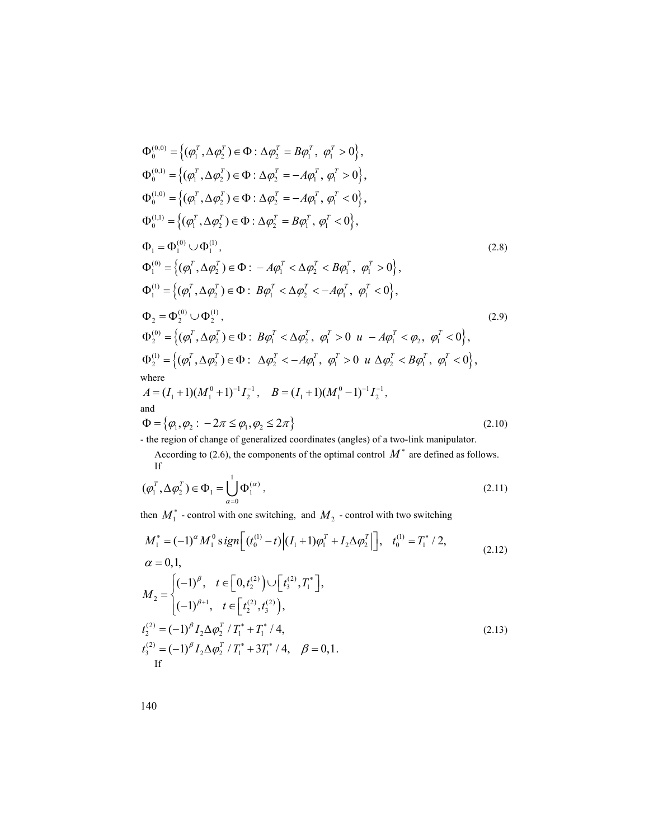$$
\Phi_0^{(0,0)} = \left\{ (\varphi_1^T, \Delta \varphi_2^T) \in \Phi : \Delta \varphi_2^T = B\varphi_1^T, \varphi_1^T > 0 \right\}, \n\Phi_0^{(0,1)} = \left\{ (\varphi_1^T, \Delta \varphi_2^T) \in \Phi : \Delta \varphi_2^T = -A\varphi_1^T, \varphi_1^T > 0 \right\}, \n\Phi_0^{(1,0)} = \left\{ (\varphi_1^T, \Delta \varphi_2^T) \in \Phi : \Delta \varphi_2^T = -A\varphi_1^T, \varphi_1^T < 0 \right\}, \n\Phi_0^{(1,1)} = \left\{ (\varphi_1^T, \Delta \varphi_2^T) \in \Phi : \Delta \varphi_2^T = B\varphi_1^T, \varphi_1^T < 0 \right\}, \n\Phi_1 = \Phi_1^{(0)} \cup \Phi_1^{(1)}, \n\Phi_1^{(0)} = \left\{ (\varphi_1^T, \Delta \varphi_2^T) \in \Phi : -A\varphi_1^T < \Delta \varphi_2^T < B\varphi_1^T, \varphi_1^T > 0 \right\}, \n\Phi_1^{(1)} = \left\{ (\varphi_1^T, \Delta \varphi_2^T) \in \Phi : B\varphi_1^T < \Delta \varphi_2^T < -A\varphi_1^T, \varphi_1^T < 0 \right\}, \n\Phi_2 = \Phi_2^{(0)} \cup \Phi_2^{(1)}, \n\Phi_2^{(0)} = \left\{ (\varphi_1^T, \Delta \varphi_2^T) \in \Phi : B\varphi_1^T < \Delta \varphi_2^T, \varphi_1^T > 0 \quad u - A\varphi_1^T < \varphi_2, \varphi_1^T < 0 \right\}, \n\Phi_2^{(1)} = \left\{ (\varphi_1^T, \Delta \varphi_2^T) \in \Phi : \Delta \varphi_2^T < -A\varphi_1^T, \varphi_1^T > 0 \quad u \Delta \varphi_2^T < B\varphi_1^T, \varphi_1^T < 0 \right\}, \n\text{where } \varphi_1^{(1)} = \left\{ (\varphi_1^T, \Delta \
$$

- the region of change of generalized coordinates (angles) of a two-link manipulator.

According to (2.6), the components of the optimal control  $M^*$  are defined as follows. If

$$
(\varphi_1^T, \Delta \varphi_2^T) \in \Phi_1 = \bigcup_{\alpha=0}^1 \Phi_1^{(\alpha)},
$$
\n(2.11)

then  $M_1^*$  - control with one switching, and  $M_2$  - control with two switching

$$
M_1^* = (-1)^\alpha M_1^0 \operatorname{sign} \left[ (t_0^{(1)} - t) \Big| (I_1 + 1) \varphi_1^T + I_2 \Delta \varphi_2^T \Big| \right], \quad t_0^{(1)} = T_1^* / 2,
$$
\n(2.12)

$$
\alpha = 0,1,
$$
  
\n
$$
M_2 = \begin{cases} (-1)^{\beta}, & t \in [0, t_2^{(2)}) \cup [t_3^{(2)}, T_1^*], \\ (-1)^{\beta+1}, & t \in [t_2^{(2)}, t_3^{(2)}), \end{cases}
$$
  
\n
$$
t_2^{(2)} = (-1)^{\beta} I_2 \Delta \varphi_2^T / T_1^* + T_1^* / 4,
$$
  
\n
$$
t_3^{(2)} = (-1)^{\beta} I_2 \Delta \varphi_2^T / T_1^* + 3T_1^* / 4, \quad \beta = 0,1.
$$
  
\nIf (2.13)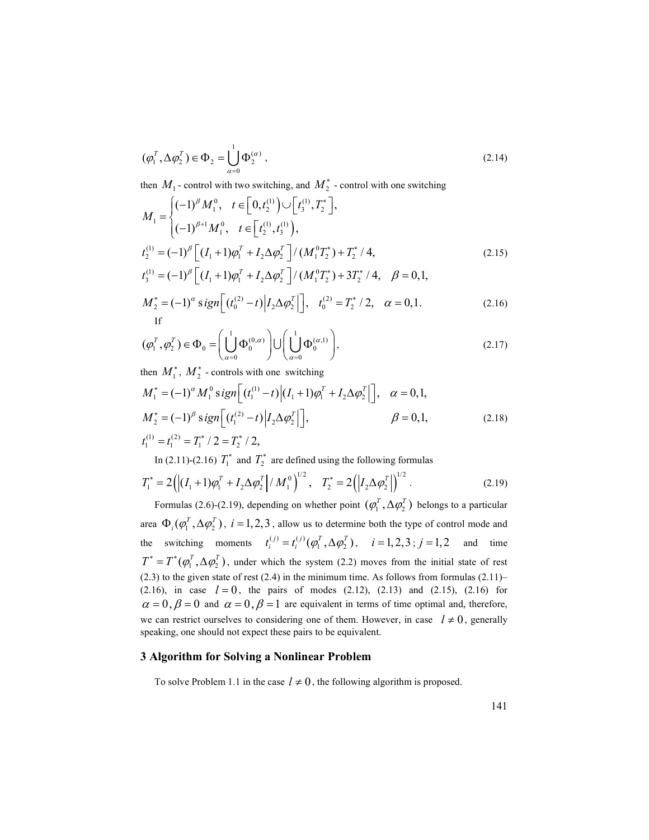$$
(\varphi_1^T, \Delta \varphi_2^T) \in \Phi_2 = \bigcup_{\alpha=0}^1 \Phi_2^{(\alpha)}, \qquad (2.14)
$$

then  $M_1$  - control with two switching, and  $M_2^*$  - control with one switching

$$
M_{1} = \begin{cases} (-1)^{\beta} M_{1}^{0}, & t \in [0, t_{2}^{(1)}) \cup [t_{3}^{(1)}, T_{2}^{*}], \\ (-1)^{\beta+1} M_{1}^{0}, & t \in [t_{2}^{(1)}, t_{3}^{(1)}), \end{cases}
$$
  
\n
$$
t_{2}^{(1)} = (-1)^{\beta} [ (I_{1} + 1) \varphi_{1}^{T} + I_{2} \Delta \varphi_{2}^{T} ] / (M_{1}^{0} T_{2}^{*}) + T_{2}^{*} / 4,
$$
  
\n
$$
t_{3}^{(1)} = (-1)^{\beta} [ (I_{1} + 1) \varphi_{1}^{T} + I_{2} \Delta \varphi_{2}^{T} ] / (M_{1}^{0} T_{2}^{*}) + 3T_{2}^{*} / 4, \quad \beta = 0, 1,
$$
\n(2.15)

$$
M_2^* = (-1)^\alpha \operatorname{sign} \left[ \left( t_0^{(2)} - t \right) \middle| I_2 \Delta \varphi_2^T \right], \quad t_0^{(2)} = T_2^* / 2, \quad \alpha = 0, 1. \tag{2.16}
$$

$$
\left(\varphi_1^T, \varphi_2^T\right) \in \Phi_0 = \left(\bigcup_{\alpha=0}^1 \Phi_0^{(0,\alpha)}\right) \cup \left(\bigcup_{\alpha=0}^1 \Phi_0^{(\alpha,1)}\right),\tag{2.17}
$$

then  $M_1^*$ ,  $M_2^*$  - controls with one switching

$$
M_1^* = (-1)^{\alpha} M_1^0 \operatorname{sign} \left[ (t_1^{(1)} - t) \Big| (I_1 + 1) \varphi_1^T + I_2 \Delta \varphi_2^T \Big| \right], \quad \alpha = 0, 1,
$$
  
\n
$$
M_2^* = (-1)^{\beta} \operatorname{sign} \left[ (t_1^{(2)} - t) \Big| I_2 \Delta \varphi_2^T \Big| \right], \qquad \beta = 0, 1,
$$
  
\n
$$
t_1^{(1)} = t_1^{(2)} = T_1^* / 2 = T_2^* / 2,
$$
\n(2.18)

In (2.11)-(2.16)  $T_1^*$  and  $T_2^*$  are defined using the following formulas

$$
T_1^* = 2\left(\left| (I_1 + 1)\varphi_1^T + I_2 \Delta \varphi_2^T \right| / M_1^0 \right)^{1/2}, \quad T_2^* = 2\left(\left| I_2 \Delta \varphi_2^T \right| \right)^{1/2}.
$$
 (2.19)

Formulas (2.6)-(2.19), depending on whether point  $(\varphi_1^T, \Delta \varphi_2^T)$  belongs to a particular area  $\Phi_i(\varphi_i^T, \Delta \varphi_2^T)$ ,  $i = 1, 2, 3$ , allow us to determine both the type of control mode and the switching moments  $t_i^{(j)} = t_i^{(j)} (\varphi_1^T, \Delta \varphi_2^T)$ ,  $i = 1, 2, 3; j = 1, 2$  and time  $T^* = T^* (\varphi_1^T, \Delta \varphi_2^T)$ , under which the system (2.2) moves from the initial state of rest (2.3) to the given state of rest (2.4) in the minimum time. As follows from formulas (2.11)– (2.16), in case  $l = 0$ , the pairs of modes (2.12), (2.13) and (2.15), (2.16) for  $\alpha = 0$ ,  $\beta = 0$  and  $\alpha = 0$ ,  $\beta = 1$  are equivalent in terms of time optimal and, therefore, we can restrict ourselves to considering one of them. However, in case  $l \neq 0$ , generally speaking, one should not expect these pairs to be equivalent.

## 3 Algorithm for Solving a Nonlinear Problem

To solve Problem 1.1 in the case  $l \neq 0$ , the following algorithm is proposed.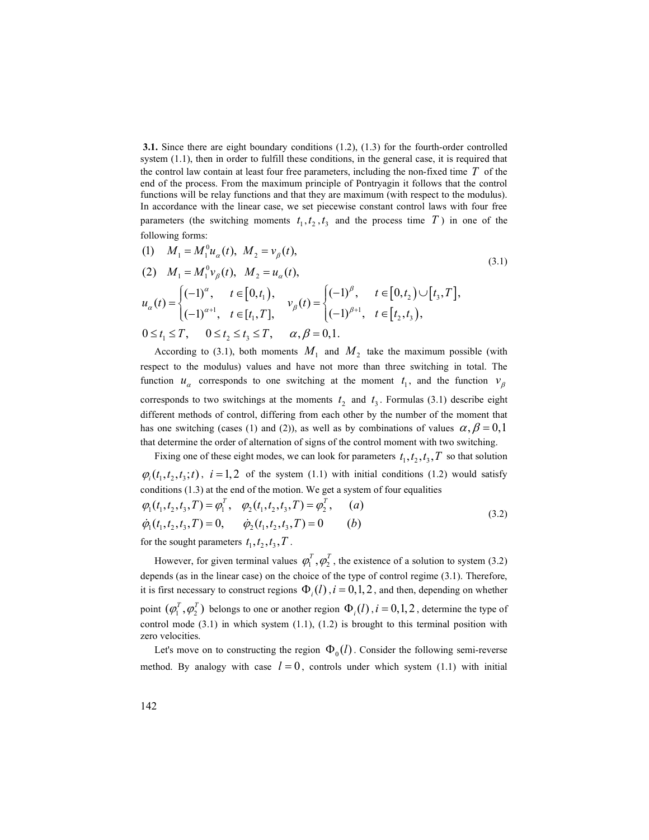3.1. Since there are eight boundary conditions (1.2), (1.3) for the fourth-order controlled system (1.1), then in order to fulfill these conditions, in the general case, it is required that the control law contain at least four free parameters, including the non-fixed time  $T$  of the end of the process. From the maximum principle оf Pontryagin it follows that the control functions will be relay functions and that they are maximum (with respect to the modulus). In accordance with the linear case, we set piecewise constant control laws with four free parameters (the switching moments  $t_1, t_2, t_3$  and the process time T) in one of the following forms:

(1) 
$$
M_1 = M_1^0 u_\alpha(t), M_2 = v_\beta(t),
$$
  
\n(2)  $M_1 = M_1^0 v_\beta(t), M_2 = u_\alpha(t),$   
\n $u_\alpha(t) = \begin{cases} (-1)^\alpha, & t \in [0, t_1), \\ (-1)^{\alpha+1}, & t \in [t_1, T], \end{cases} v_\beta(t) = \begin{cases} (-1)^\beta, & t \in [0, t_2) \cup [t_3, T], \\ (-1)^{\beta+1}, & t \in [t_2, t_3), \end{cases}$   
\n $0 \le t_1 \le T, \quad 0 \le t_2 \le t_3 \le T, \quad \alpha, \beta = 0, 1.$  (3.1)

According to (3.1), both moments  $M_1$  and  $M_2$  take the maximum possible (with respect to the modulus) values and have not more than three switching in total. The function  $u_{\alpha}$  corresponds to one switching at the moment  $t_1$ , and the function  $v_{\beta}$ corresponds to two switchings at the moments  $t_2$  and  $t_3$ . Formulas (3.1) describe eight different methods of control, differing from each other by the number of the moment that has one switching (cases (1) and (2)), as well as by combinations of values  $\alpha, \beta = 0,1$ that determine the order of alternation of signs of the control moment with two switching.

Fixing one of these eight modes, we can look for parameters  $t_1, t_2, t_3, T$  so that solution  $\varphi_i(t_1,t_2,t_3;t)$ ,  $i=1,2$  of the system (1.1) with initial conditions (1.2) would satisfy conditions (1.3) at the end of the motion. We get a system of four equalities

$$
\varphi_1(t_1, t_2, t_3, T) = \varphi_1^T, \quad \varphi_2(t_1, t_2, t_3, T) = \varphi_2^T, \quad (a)
$$
  
\n
$$
\dot{\varphi}_1(t_1, t_2, t_3, T) = 0, \quad \dot{\varphi}_2(t_1, t_2, t_3, T) = 0 \quad (b)
$$
\n(3.2)

for the sought parameters  $t_1, t_2, t_3, T$ .

However, for given terminal values  $\varphi_1^T, \varphi_2^T$ , the existence of a solution to system (3.2) depends (as in the linear case) on the choice of the type of control regime (3.1). Therefore, it is first necessary to construct regions  $\Phi_i(l)$ ,  $i = 0,1,2$ , and then, depending on whether point  $(\varphi_1^T, \varphi_2^T)$  belongs to one or another region  $\Phi_i(l)$ ,  $i = 0,1,2$ , determine the type of control mode  $(3.1)$  in which system  $(1.1)$ ,  $(1.2)$  is brought to this terminal position with zero velocities.

Let's move on to constructing the region  $\Phi_0(l)$ . Consider the following semi-reverse method. By analogy with case  $l = 0$ , controls under which system (1.1) with initial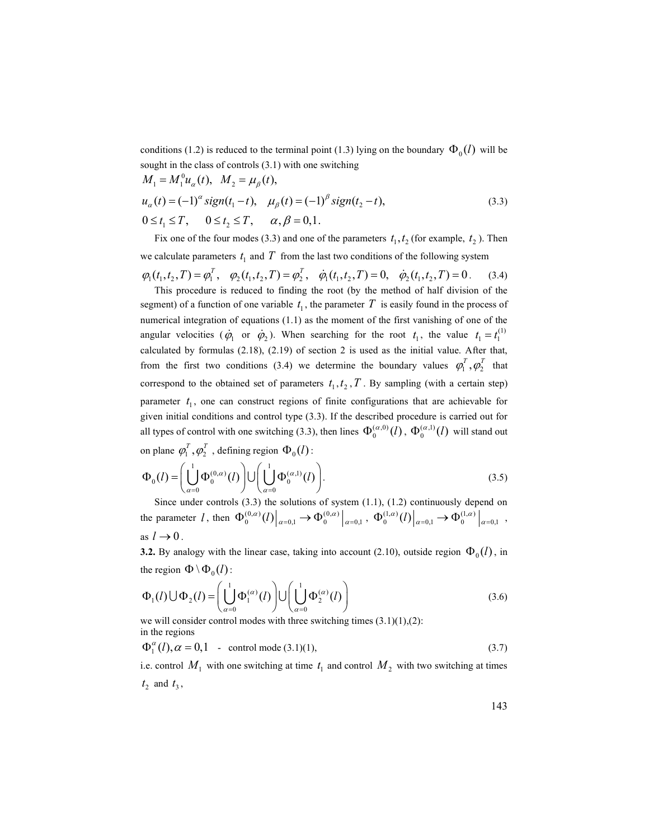conditions (1.2) is reduced to the terminal point (1.3) lying on the boundary  $\Phi_0(l)$  will be sought in the class of controls (3.1) with one switching

$$
M_1 = M_1^0 u_\alpha(t), \quad M_2 = \mu_\beta(t),
$$
  
\n
$$
u_\alpha(t) = (-1)^\alpha \text{sign}(t_1 - t), \quad \mu_\beta(t) = (-1)^\beta \text{sign}(t_2 - t),
$$
  
\n
$$
0 \le t_1 \le T, \quad 0 \le t_2 \le T, \quad \alpha, \beta = 0, 1.
$$
\n(3.3)

Fix one of the four modes (3.3) and one of the parameters  $t_1, t_2$  (for example,  $t_2$ ). Then we calculate parameters  $t_1$  and  $T$  from the last two conditions of the following system

 $\varphi_1(t_1, t_2, T) = \varphi_1^T$ ,  $\varphi_2(t_1, t_2, T) = \varphi_2^T$ ,  $\dot{\varphi}_1(t_1, t_2, T) = 0$ ,  $\dot{\varphi}_2(t_1, t_2, T) = 0$ . (3.4) This procedure is reduced to finding the root (by the method of half division of the segment) of a function of one variable  $t_1$ , the parameter T is easily found in the process of numerical integration of equations (1.1) as the moment of the first vanishing of one of the angular velocities  $(\dot{\phi}_1$  or  $\dot{\phi}_2$ ). When searching for the root  $t_1$ , the value  $t_1 = t_1^{(1)}$ calculated by formulas (2.18), (2.19) of section 2 is used as the initial value. After that, from the first two conditions (3.4) we determine the boundary values  $\varphi_1^T, \varphi_2^T$  that correspond to the obtained set of parameters  $t_1, t_2, T$ . By sampling (with a certain step) parameter  $t_1$ , one can construct regions of finite configurations that are achievable for given initial conditions and control type (3.3). If the described procedure is carried out for all types of control with one switching (3.3), then lines  $\Phi_0^{(\alpha,0)}(l)$ ,  $\Phi_0^{(\alpha,l)}(l)$  will stand out on plane  $\varphi_1^T , \varphi_2^T$  , defining region  $\Phi_0(l)$  :

$$
\Phi_0(l) = \left(\bigcup_{\alpha=0}^l \Phi_0^{(0,\alpha)}(l)\right) \cup \left(\bigcup_{\alpha=0}^l \Phi_0^{(\alpha,l)}(l)\right).
$$
\n(3.5)

Since under controls (3.3) the solutions of system (1.1), (1.2) continuously depend on the parameter *l*, then  $\Phi_0^{(0,\alpha)}(l)|_{\alpha=0,1} \to \Phi_0^{(0,\alpha)}|_{\alpha=0,1}$ ,  $\Phi_0^{(1,\alpha)}(l)|_{\alpha=0,1} \to \Phi_0^{(1,\alpha)}|_{\alpha=0,1}$ , as  $l \rightarrow 0$ .

**3.2.** By analogy with the linear case, taking into account (2.10), outside region  $\Phi_0(l)$ , in the region  $\Phi \setminus \Phi_0(l)$ :

$$
\Phi_1(l) \bigcup \Phi_2(l) = \left(\bigcup_{\alpha=0}^1 \Phi_1^{(\alpha)}(l)\right) \bigcup \left(\bigcup_{\alpha=0}^1 \Phi_2^{(\alpha)}(l)\right)
$$
\n(3.6)

we will consider control modes with three switching times  $(3.1)(1)$ , $(2)$ : in the regions

$$
\Phi_1^{\alpha}(l), \alpha = 0, 1 \quad \text{control mode (3.1)(1)}, \tag{3.7}
$$

i.e. control  $M_1$  with one switching at time  $t_1$  and control  $M_2$  with two switching at times  $t_2$  and  $t_3$ ,

143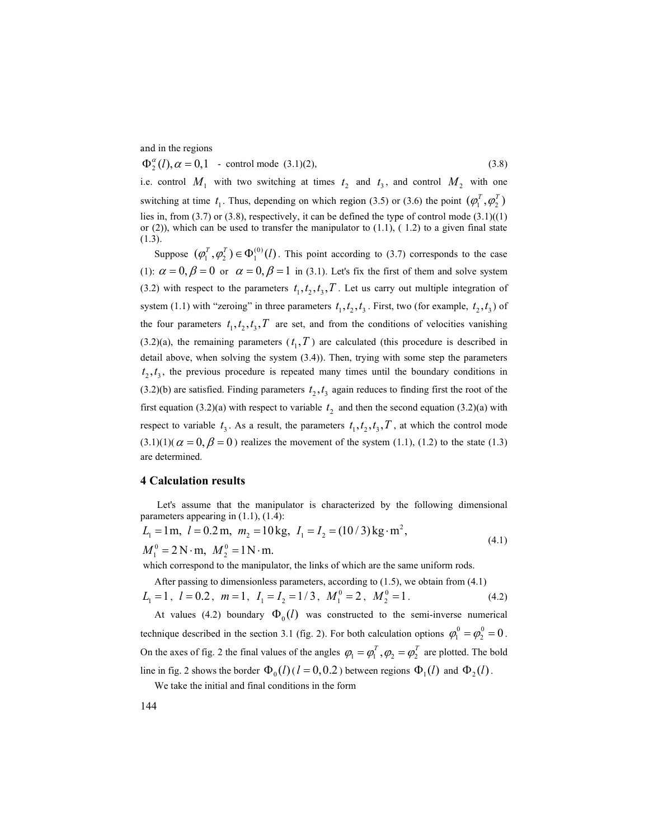and in the regions

 $\Phi_2^{\alpha}(l), \alpha = 0,1$  - control mode (3.1)(2), (3.8)

i.e. control  $M_1$  with two switching at times  $t_2$  and  $t_3$ , and control  $M_2$  with one switching at time  $t_1$ . Thus, depending on which region (3.5) or (3.6) the point  $(\varphi_1^T, \varphi_2^T)$ lies in, from (3.7) or (3.8), respectively, it can be defined the type of control mode (3.1)((1) or (2)), which can be used to transfer the manipulator to (1.1), ( 1.2) to a given final state (1.3).

Suppose  $(\varphi_1^T, \varphi_2^T) \in \Phi_1^{(0)}(l)$ . This point according to (3.7) corresponds to the case (1):  $\alpha = 0$ ,  $\beta = 0$  or  $\alpha = 0$ ,  $\beta = 1$  in (3.1). Let's fix the first of them and solve system (3.2) with respect to the parameters  $t_1, t_2, t_3, T$ . Let us carry out multiple integration of system (1.1) with "zeroing" in three parameters  $t_1, t_2, t_3$ . First, two (for example,  $t_2, t_3$ ) of the four parameters  $t_1, t_2, t_3, T$  are set, and from the conditions of velocities vanishing  $(3.2)(a)$ , the remaining parameters  $(t_1, T)$  are calculated (this procedure is described in detail above, when solving the system (3.4)). Then, trying with some step the parameters  $t_2, t_3$ , the previous procedure is repeated many times until the boundary conditions in (3.2)(b) are satisfied. Finding parameters  $t_2, t_3$  again reduces to finding first the root of the first equation (3.2)(a) with respect to variable  $t_2$  and then the second equation (3.2)(a) with respect to variable  $t_3$ . As a result, the parameters  $t_1, t_2, t_3, T$ , at which the control mode  $(3.1)(1)(\alpha = 0, \beta = 0)$  realizes the movement of the system (1.1), (1.2) to the state (1.3) are determined.

## 4 Calculation results

Let's assume that the manipulator is characterized by the following dimensional parameters appearing in (1.1), (1.4):

$$
L_1 = 1 \text{ m}, \ l = 0.2 \text{ m}, \ m_2 = 10 \text{ kg}, \ I_1 = I_2 = (10/3) \text{ kg} \cdot \text{m}^2,
$$
  

$$
M_1^0 = 2 \text{ N} \cdot \text{m}, \ M_2^0 = 1 \text{ N} \cdot \text{m}.
$$
 (4.1)

which correspond to the manipulator, the links of which are the same uniform rods.

After passing to dimensionless parameters, according to (1.5), we obtain from (4.1)

$$
L_1 = 1
$$
,  $l = 0.2$ ,  $m = 1$ ,  $I_1 = I_2 = 1/3$ ,  $M_1^0 = 2$ ,  $M_2^0 = 1$ . (4.2)

At values (4.2) boundary  $\Phi_0(l)$  was constructed to the semi-inverse numerical technique described in the section 3.1 (fig. 2). For both calculation options  $\varphi_1^0 = \varphi_2^0 = 0$ . On the axes of fig. 2 the final values of the angles  $\varphi_1 = \varphi_1^T, \varphi_2 = \varphi_2^T$  are plotted. The bold line in fig. 2 shows the border  $\Phi_0(l)$  ( $l = 0,0.2$  ) between regions  $\Phi_1(l)$  and  $\Phi_2(l)$ .

We take the initial and final conditions in the form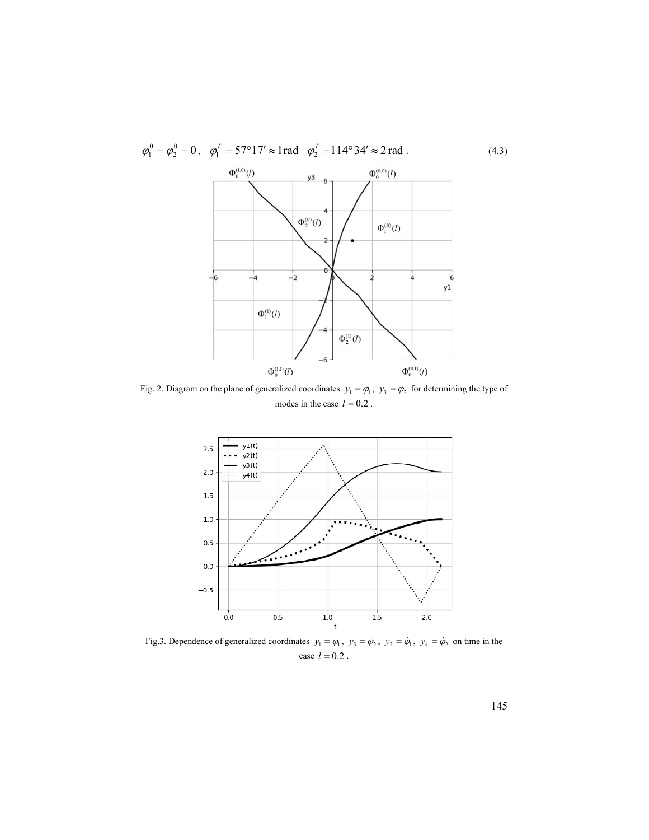

Fig. 2. Diagram on the plane of generalized coordinates  $y_1 = \varphi_1$ ,  $y_3 = \varphi_2$  for determining the type of modes in the case  $l = 0.2$ .



Fig.3. Dependence of generalized coordinates  $y_1 = \varphi_1$ ,  $y_3 = \varphi_2$ ,  $y_2 = \dot{\varphi}_1$ ,  $y_4 = \dot{\varphi}_2$  on time in the case  $l = 0.2$ .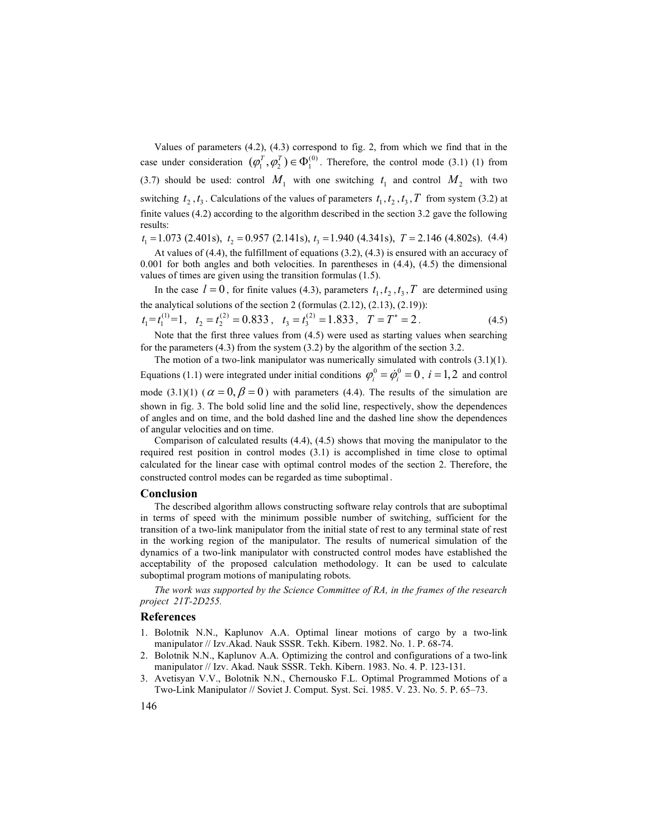Values of parameters (4.2), (4.3) correspond to fig. 2, from which we find that in the case under consideration  $(\varphi_1^T, \varphi_2^T) \in \Phi_1^{(0)}$ . Therefore, the control mode (3.1) (1) from (3.7) should be used: control  $M_1$  with one switching  $t_1$  and control  $M_2$  with two switching  $t_2, t_3$ . Calculations of the values of parameters  $t_1, t_2, t_3, T$  from system (3.2) at finite values (4.2) according to the algorithm described in the section 3.2 gave the following results:

 $t_1 = 1.073$  (2.401s),  $t_2 = 0.957$  (2.141s),  $t_3 = 1.940$  (4.341s),  $T = 2.146$  (4.802s). (4.4)

At values of (4.4), the fulfillment of equations (3.2), (4.3) is ensured with an accuracy of 0.001 for both angles and both velocities. In parentheses in (4.4), (4.5) the dimensional values of times are given using the transition formulas (1.5).

In the case  $l = 0$ , for finite values (4.3), parameters  $t_1, t_2, t_3, T$  are determined using the analytical solutions of the section 2 (formulas (2.12), (2.13), (2.19)):  $t_1 = t_1^{(1)} = 1$ ,  $t_2 = t_2^{(2)} = 0.833$ ,  $t_3 = t_3^{(2)} = 1.833$ ,  $T = T^* = 2$ . (4.5)

Note that the first three values from (4.5) were used as starting values when searching for the parameters (4.3) from the system (3.2) by the algorithm of the section 3.2.

The motion of a two-link manipulator was numerically simulated with controls  $(3.1)(1)$ . Equations (1.1) were integrated under initial conditions  $\varphi_i^0 = \dot{\varphi}_i^0 = 0$ ,  $i = 1,2$  and control mode (3.1)(1) ( $\alpha = 0, \beta = 0$ ) with parameters (4.4). The results of the simulation are shown in fig. 3. The bold solid line and the solid line, respectively, show the dependences of angles and on time, and the bold dashed line and the dashed line show the dependences of angular velocities and on time.

Comparison of calculated results (4.4), (4.5) shows that moving the manipulator to the required rest position in control modes (3.1) is accomplished in time close to optimal calculated for the linear case with optimal control modes of the section 2. Therefore, the constructed control modes can be regarded as time suboptimal․

### Conclusion

The described algorithm allows constructing software relay controls that are suboptimal in terms of speed with the minimum possible number of switching, sufficient for the transition of a two-link manipulator from the initial state of rest to any terminal state of rest in the working region of the manipulator. The results of numerical simulation of the dynamics of a two-link manipulator with constructed control modes have established the acceptability of the proposed calculation methodology. It can be used to calculate suboptimal program motions of manipulating robots.

The work was supported by the Science Committee of RA, in the frames of the research project 21T-2D255.

#### References

- 1. Bolotnik N.N., Kaplunov A.A. Optimal linear motions of cargo by a two-link manipulator // Izv.Akad. Nauk SSSR. Tekh. Kibern. 1982. No. 1. P. 68-74.
- 2. Bolotnik N.N., Kaplunov A.A. Optimizing the control and configurations of a two-link manipulator // Izv. Akad. Nauk SSSR. Tekh. Kibern. 1983. No. 4. P. 123-131.
- 3. Avetisyan V.V., Bolotnik N.N., Chernousko F.L. Optimal Programmed Motions of a Two-Link Manipulator // Soviet J. Comput. Syst. Sci. 1985. V. 23. No. 5. P. 65–73.